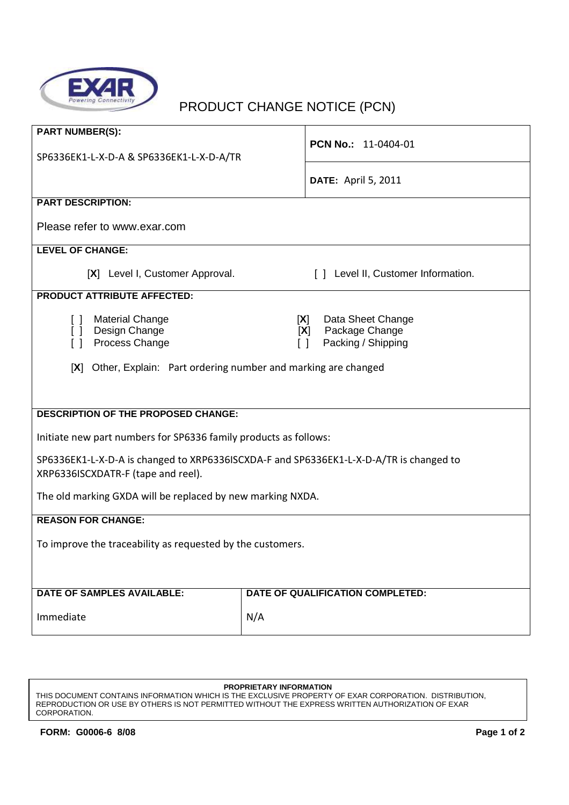

## PRODUCT CHANGE NOTICE (PCN)

| <b>PART NUMBER(S):</b>                                                                 |                                                       |  |
|----------------------------------------------------------------------------------------|-------------------------------------------------------|--|
| SP6336EK1-L-X-D-A & SP6336EK1-L-X-D-A/TR                                               | PCN No.: 11-0404-01                                   |  |
|                                                                                        | <b>DATE: April 5, 2011</b>                            |  |
|                                                                                        |                                                       |  |
| <b>PART DESCRIPTION:</b>                                                               |                                                       |  |
| Please refer to www.exar.com                                                           |                                                       |  |
| <b>LEVEL OF CHANGE:</b>                                                                |                                                       |  |
| [X] Level I, Customer Approval.                                                        | [ ] Level II, Customer Information.                   |  |
| <b>PRODUCT ATTRIBUTE AFFECTED:</b>                                                     |                                                       |  |
| <b>Material Change</b><br>$\Box$                                                       | Data Sheet Change<br>[X]                              |  |
| [ ] Design Change<br>Process Change<br>$\lceil$ $\rceil$                               | Package Change<br>[X]<br>Packing / Shipping<br>$\Box$ |  |
|                                                                                        |                                                       |  |
| Other, Explain: Part ordering number and marking are changed<br>[X]                    |                                                       |  |
|                                                                                        |                                                       |  |
|                                                                                        |                                                       |  |
| <b>DESCRIPTION OF THE PROPOSED CHANGE:</b>                                             |                                                       |  |
| Initiate new part numbers for SP6336 family products as follows:                       |                                                       |  |
| SP6336EK1-L-X-D-A is changed to XRP6336ISCXDA-F and SP6336EK1-L-X-D-A/TR is changed to |                                                       |  |
| XRP6336ISCXDATR-F (tape and reel).                                                     |                                                       |  |
| The old marking GXDA will be replaced by new marking NXDA.                             |                                                       |  |
| <b>REASON FOR CHANGE:</b>                                                              |                                                       |  |
| To improve the traceability as requested by the customers.                             |                                                       |  |
|                                                                                        |                                                       |  |
|                                                                                        |                                                       |  |
| <b>DATE OF SAMPLES AVAILABLE:</b>                                                      | DATE OF QUALIFICATION COMPLETED:                      |  |
| Immediate                                                                              | N/A                                                   |  |
|                                                                                        |                                                       |  |

## **PROPRIETARY INFORMATION**

THIS DOCUMENT CONTAINS INFORMATION WHICH IS THE EXCLUSIVE PROPERTY OF EXAR CORPORATION. DISTRIBUTION, REPRODUCTION OR USE BY OTHERS IS NOT PERMITTED WITHOUT THE EXPRESS WRITTEN AUTHORIZATION OF EXAR CORPORATION.